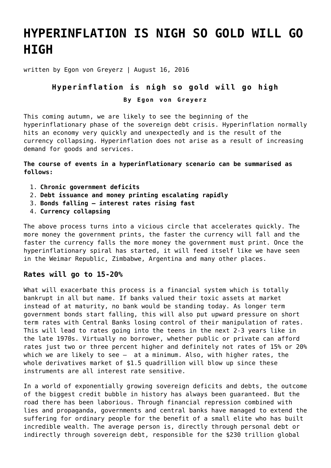## **[HYPERINFLATION IS NIGH SO GOLD WILL GO](https://goldswitzerland.com/hyperinflation-is-nigh-so-gold-will-go-high/) [HIGH](https://goldswitzerland.com/hyperinflation-is-nigh-so-gold-will-go-high/)**

written by Egon von Greyerz | August 16, 2016

## **Hyperinflation is nigh so gold will go high**

**By Egon von Greyerz**

This coming autumn, we are likely to see the beginning of the hyperinflationary phase of the sovereign debt crisis. Hyperinflation normally hits an economy very quickly and unexpectedly and is the result of the currency collapsing. Hyperinflation does not arise as a result of increasing demand for goods and services.

**The course of events in a hyperinflationary scenario can be summarised as follows:**

- 1. **Chronic government deficits**
- 2. **Debt issuance and money printing escalating rapidly**
- 3. **Bonds falling interest rates rising fast**
- 4. **Currency collapsing**

The above process turns into a vicious circle that accelerates quickly. The more money the government prints, the faster the currency will fall and the faster the currency falls the more money the government must print. Once the hyperinflationary spiral has started, it will feed itself like we have seen in the Weimar Republic, Zimbabwe, Argentina and many other places.

## **Rates will go to 15-20%**

What will exacerbate this process is a financial system which is totally bankrupt in all but name. If banks valued their toxic assets at market instead of at maturity, no bank would be standing today. As longer term government bonds start falling, this will also put upward pressure on short term rates with Central Banks losing control of their manipulation of rates. This will lead to rates going into the teens in the next 2-3 years like in the late 1970s. Virtually no borrower, whether public or private can afford rates just two or three percent higher and definitely not rates of 15% or 20% which we are likely to see – at a minimum. Also, with higher rates, the whole derivatives market of \$1.5 quadrillion will blow up since these instruments are all interest rate sensitive.

In a world of exponentially growing sovereign deficits and debts, the outcome of the biggest credit bubble in history has always been guaranteed. But the road there has been laborious. Through financial repression combined with lies and propaganda, governments and central banks have managed to extend the suffering for ordinary people for the benefit of a small elite who has built incredible wealth. The average person is, directly through personal debt or indirectly through sovereign debt, responsible for the \$230 trillion global